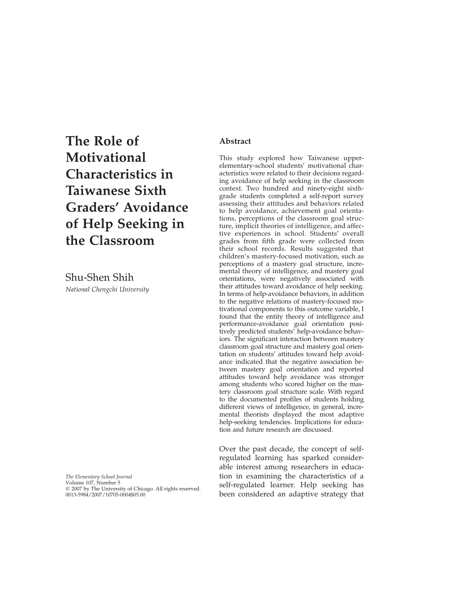**The Role of Motivational Characteristics in Taiwanese Sixth Graders' Avoidance of Help Seeking in the Classroom**

Shu-Shen Shih

*National Chengchi University*

*The Elementary School Journal* Volume 107, Number 5 2007 by The University of Chicago. All rights reserved. 0013-5984/2007/10705-0004\$05.00

## **Abstract**

This study explored how Taiwanese upperelementary-school students' motivational characteristics were related to their decisions regarding avoidance of help seeking in the classroom context. Two hundred and ninety-eight sixthgrade students completed a self-report survey assessing their attitudes and behaviors related to help avoidance, achievement goal orientations, perceptions of the classroom goal structure, implicit theories of intelligence, and affective experiences in school. Students' overall grades from fifth grade were collected from their school records. Results suggested that children's mastery-focused motivation, such as perceptions of a mastery goal structure, incremental theory of intelligence, and mastery goal orientations, were negatively associated with their attitudes toward avoidance of help seeking. In terms of help-avoidance behaviors, in addition to the negative relations of mastery-focused motivational components to this outcome variable, I found that the entity theory of intelligence and performance-avoidance goal orientation positively predicted students' help-avoidance behaviors. The significant interaction between mastery classroom goal structure and mastery goal orientation on students' attitudes toward help avoidance indicated that the negative association between mastery goal orientation and reported attitudes toward help avoidance was stronger among students who scored higher on the mastery classroom goal structure scale. With regard to the documented profiles of students holding different views of intelligence, in general, incremental theorists displayed the most adaptive help-seeking tendencies. Implications for education and future research are discussed.

Over the past decade, the concept of selfregulated learning has sparked considerable interest among researchers in education in examining the characteristics of a self-regulated learner. Help seeking has been considered an adaptive strategy that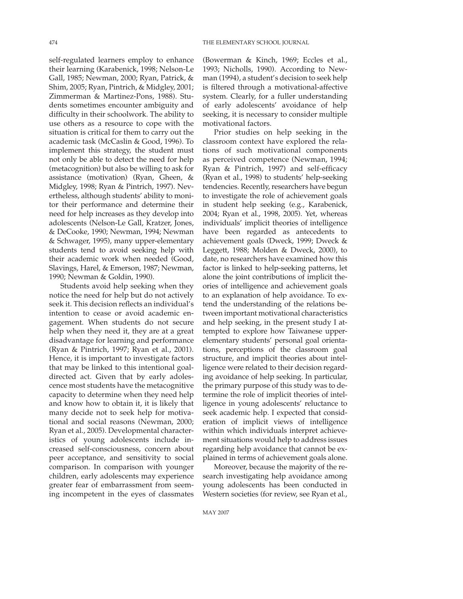self-regulated learners employ to enhance their learning (Karabenick, 1998; Nelson-Le Gall, 1985; Newman, 2000; Ryan, Patrick, & Shim, 2005; Ryan, Pintrich, & Midgley, 2001; Zimmerman & Martinez-Pons, 1988). Students sometimes encounter ambiguity and difficulty in their schoolwork. The ability to use others as a resource to cope with the situation is critical for them to carry out the academic task (McCaslin & Good, 1996). To implement this strategy, the student must not only be able to detect the need for help (metacognition) but also be willing to ask for assistance (motivation) (Ryan, Gheen, & Midgley, 1998; Ryan & Pintrich, 1997). Nevertheless, although students' ability to monitor their performance and determine their need for help increases as they develop into adolescents (Nelson-Le Gall, Kratzer, Jones, & DeCooke, 1990; Newman, 1994; Newman & Schwager, 1995), many upper-elementary students tend to avoid seeking help with their academic work when needed (Good, Slavings, Harel, & Emerson, 1987; Newman, 1990; Newman & Goldin, 1990).

Students avoid help seeking when they notice the need for help but do not actively seek it. This decision reflects an individual's intention to cease or avoid academic engagement. When students do not secure help when they need it, they are at a great disadvantage for learning and performance (Ryan & Pintrich, 1997; Ryan et al., 2001). Hence, it is important to investigate factors that may be linked to this intentional goaldirected act. Given that by early adolescence most students have the metacognitive capacity to determine when they need help and know how to obtain it, it is likely that many decide not to seek help for motivational and social reasons (Newman, 2000; Ryan et al., 2005). Developmental characteristics of young adolescents include increased self-consciousness, concern about peer acceptance, and sensitivity to social comparison. In comparison with younger children, early adolescents may experience greater fear of embarrassment from seeming incompetent in the eyes of classmates

(Bowerman & Kinch, 1969; Eccles et al., 1993; Nicholls, 1990). According to Newman (1994), a student's decision to seek help is filtered through a motivational-affective system. Clearly, for a fuller understanding of early adolescents' avoidance of help seeking, it is necessary to consider multiple motivational factors.

Prior studies on help seeking in the classroom context have explored the relations of such motivational components as perceived competence (Newman, 1994; Ryan & Pintrich, 1997) and self-efficacy (Ryan et al., 1998) to students' help-seeking tendencies. Recently, researchers have begun to investigate the role of achievement goals in student help seeking (e.g., Karabenick, 2004; Ryan et al., 1998, 2005). Yet, whereas individuals' implicit theories of intelligence have been regarded as antecedents to achievement goals (Dweck, 1999; Dweck & Leggett, 1988; Molden & Dweck, 2000), to date, no researchers have examined how this factor is linked to help-seeking patterns, let alone the joint contributions of implicit theories of intelligence and achievement goals to an explanation of help avoidance. To extend the understanding of the relations between important motivational characteristics and help seeking, in the present study I attempted to explore how Taiwanese upperelementary students' personal goal orientations, perceptions of the classroom goal structure, and implicit theories about intelligence were related to their decision regarding avoidance of help seeking. In particular, the primary purpose of this study was to determine the role of implicit theories of intelligence in young adolescents' reluctance to seek academic help. I expected that consideration of implicit views of intelligence within which individuals interpret achievement situations would help to address issues regarding help avoidance that cannot be explained in terms of achievement goals alone.

Moreover, because the majority of the research investigating help avoidance among young adolescents has been conducted in Western societies (for review, see Ryan et al.,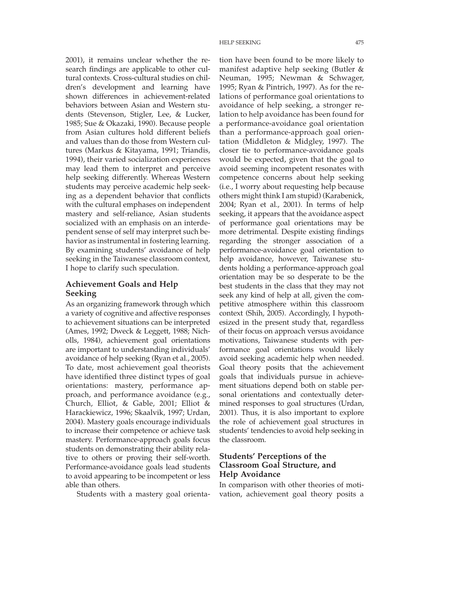2001), it remains unclear whether the research findings are applicable to other cultural contexts. Cross-cultural studies on children's development and learning have shown differences in achievement-related behaviors between Asian and Western students (Stevenson, Stigler, Lee, & Lucker, 1985; Sue & Okazaki, 1990). Because people from Asian cultures hold different beliefs and values than do those from Western cultures (Markus & Kitayama, 1991; Triandis, 1994), their varied socialization experiences may lead them to interpret and perceive help seeking differently. Whereas Western students may perceive academic help seeking as a dependent behavior that conflicts with the cultural emphases on independent mastery and self-reliance, Asian students socialized with an emphasis on an interdependent sense of self may interpret such behavior as instrumental in fostering learning. By examining students' avoidance of help seeking in the Taiwanese classroom context, I hope to clarify such speculation.

## **Achievement Goals and Help Seeking**

As an organizing framework through which a variety of cognitive and affective responses to achievement situations can be interpreted (Ames, 1992; Dweck & Leggett, 1988; Nicholls, 1984), achievement goal orientations are important to understanding individuals' avoidance of help seeking (Ryan et al., 2005). To date, most achievement goal theorists have identified three distinct types of goal orientations: mastery, performance approach, and performance avoidance (e.g., Church, Elliot, & Gable, 2001; Elliot & Harackiewicz, 1996; Skaalvik, 1997; Urdan, 2004). Mastery goals encourage individuals to increase their competence or achieve task mastery. Performance-approach goals focus students on demonstrating their ability relative to others or proving their self-worth. Performance-avoidance goals lead students to avoid appearing to be incompetent or less able than others.

Students with a mastery goal orienta-

tion have been found to be more likely to manifest adaptive help seeking (Butler & Neuman, 1995; Newman & Schwager, 1995; Ryan & Pintrich, 1997). As for the relations of performance goal orientations to avoidance of help seeking, a stronger relation to help avoidance has been found for a performance-avoidance goal orientation than a performance-approach goal orientation (Middleton & Midgley, 1997). The closer tie to performance-avoidance goals would be expected, given that the goal to avoid seeming incompetent resonates with competence concerns about help seeking (i.e., I worry about requesting help because others might think I am stupid) (Karabenick, 2004; Ryan et al., 2001). In terms of help seeking, it appears that the avoidance aspect of performance goal orientations may be more detrimental. Despite existing findings regarding the stronger association of a performance-avoidance goal orientation to help avoidance, however, Taiwanese students holding a performance-approach goal orientation may be so desperate to be the best students in the class that they may not seek any kind of help at all, given the competitive atmosphere within this classroom context (Shih, 2005). Accordingly, I hypothesized in the present study that, regardless of their focus on approach versus avoidance motivations, Taiwanese students with performance goal orientations would likely avoid seeking academic help when needed. Goal theory posits that the achievement goals that individuals pursue in achievement situations depend both on stable personal orientations and contextually determined responses to goal structures (Urdan, 2001). Thus, it is also important to explore the role of achievement goal structures in students' tendencies to avoid help seeking in the classroom.

# **Students' Perceptions of the Classroom Goal Structure, and Help Avoidance**

In comparison with other theories of motivation, achievement goal theory posits a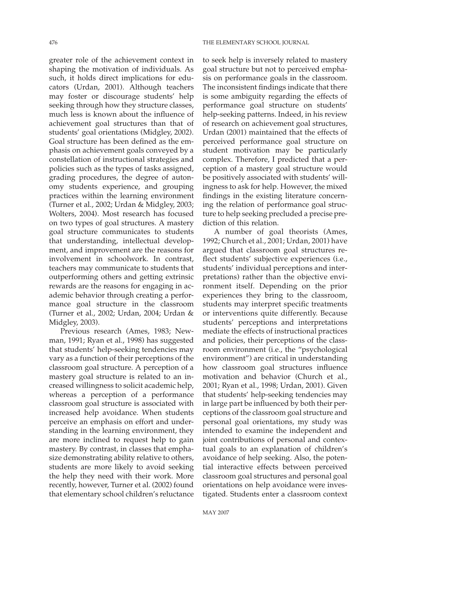greater role of the achievement context in shaping the motivation of individuals. As such, it holds direct implications for educators (Urdan, 2001). Although teachers may foster or discourage students' help seeking through how they structure classes, much less is known about the influence of achievement goal structures than that of students' goal orientations (Midgley, 2002). Goal structure has been defined as the emphasis on achievement goals conveyed by a constellation of instructional strategies and policies such as the types of tasks assigned, grading procedures, the degree of autonomy students experience, and grouping practices within the learning environment (Turner et al., 2002; Urdan & Midgley, 2003; Wolters, 2004). Most research has focused on two types of goal structures. A mastery goal structure communicates to students that understanding, intellectual development, and improvement are the reasons for involvement in schoolwork. In contrast, teachers may communicate to students that outperforming others and getting extrinsic rewards are the reasons for engaging in academic behavior through creating a performance goal structure in the classroom (Turner et al., 2002; Urdan, 2004; Urdan & Midgley, 2003).

Previous research (Ames, 1983; Newman, 1991; Ryan et al., 1998) has suggested that students' help-seeking tendencies may vary as a function of their perceptions of the classroom goal structure. A perception of a mastery goal structure is related to an increased willingness to solicit academic help, whereas a perception of a performance classroom goal structure is associated with increased help avoidance. When students perceive an emphasis on effort and understanding in the learning environment, they are more inclined to request help to gain mastery. By contrast, in classes that emphasize demonstrating ability relative to others, students are more likely to avoid seeking the help they need with their work. More recently, however, Turner et al. (2002) found that elementary school children's reluctance

to seek help is inversely related to mastery goal structure but not to perceived emphasis on performance goals in the classroom. The inconsistent findings indicate that there is some ambiguity regarding the effects of performance goal structure on students' help-seeking patterns. Indeed, in his review of research on achievement goal structures, Urdan (2001) maintained that the effects of perceived performance goal structure on student motivation may be particularly complex. Therefore, I predicted that a perception of a mastery goal structure would be positively associated with students' willingness to ask for help. However, the mixed findings in the existing literature concerning the relation of performance goal structure to help seeking precluded a precise prediction of this relation.

A number of goal theorists (Ames, 1992; Church et al., 2001; Urdan, 2001) have argued that classroom goal structures reflect students' subjective experiences (i.e., students' individual perceptions and interpretations) rather than the objective environment itself. Depending on the prior experiences they bring to the classroom, students may interpret specific treatments or interventions quite differently. Because students' perceptions and interpretations mediate the effects of instructional practices and policies, their perceptions of the classroom environment (i.e., the "psychological environment") are critical in understanding how classroom goal structures influence motivation and behavior (Church et al., 2001; Ryan et al., 1998; Urdan, 2001). Given that students' help-seeking tendencies may in large part be influenced by both their perceptions of the classroom goal structure and personal goal orientations, my study was intended to examine the independent and joint contributions of personal and contextual goals to an explanation of children's avoidance of help seeking. Also, the potential interactive effects between perceived classroom goal structures and personal goal orientations on help avoidance were investigated. Students enter a classroom context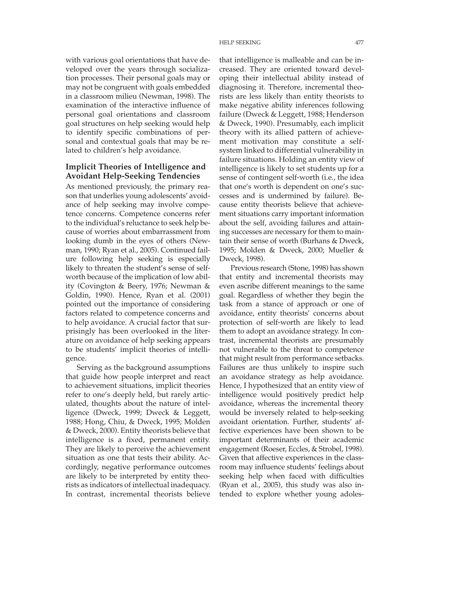with various goal orientations that have developed over the years through socialization processes. Their personal goals may or may not be congruent with goals embedded in a classroom milieu (Newman, 1998). The examination of the interactive influence of personal goal orientations and classroom goal structures on help seeking would help to identify specific combinations of personal and contextual goals that may be related to children's help avoidance.

# **Implicit Theories of Intelligence and Avoidant Help-Seeking Tendencies**

As mentioned previously, the primary reason that underlies young adolescents' avoidance of help seeking may involve competence concerns. Competence concerns refer to the individual's reluctance to seek help because of worries about embarrassment from looking dumb in the eyes of others (Newman, 1990; Ryan et al., 2005). Continued failure following help seeking is especially likely to threaten the student's sense of selfworth because of the implication of low ability (Covington & Beery, 1976; Newman & Goldin, 1990). Hence, Ryan et al. (2001) pointed out the importance of considering factors related to competence concerns and to help avoidance. A crucial factor that surprisingly has been overlooked in the literature on avoidance of help seeking appears to be students' implicit theories of intelligence.

Serving as the background assumptions that guide how people interpret and react to achievement situations, implicit theories refer to one's deeply held, but rarely articulated, thoughts about the nature of intelligence (Dweck, 1999; Dweck & Leggett, 1988; Hong, Chiu, & Dweck, 1995; Molden & Dweck, 2000). Entity theorists believe that intelligence is a fixed, permanent entity. They are likely to perceive the achievement situation as one that tests their ability. Accordingly, negative performance outcomes are likely to be interpreted by entity theorists as indicators of intellectual inadequacy. In contrast, incremental theorists believe

that intelligence is malleable and can be increased. They are oriented toward developing their intellectual ability instead of diagnosing it. Therefore, incremental theorists are less likely than entity theorists to make negative ability inferences following failure (Dweck & Leggett, 1988; Henderson & Dweck, 1990). Presumably, each implicit theory with its allied pattern of achievement motivation may constitute a selfsystem linked to differential vulnerability in failure situations. Holding an entity view of intelligence is likely to set students up for a sense of contingent self-worth (i.e., the idea that one's worth is dependent on one's successes and is undermined by failure). Because entity theorists believe that achievement situations carry important information about the self, avoiding failures and attaining successes are necessary for them to maintain their sense of worth (Burhans & Dweck, 1995; Molden & Dweck, 2000; Mueller & Dweck, 1998).

Previous research (Stone, 1998) has shown that entity and incremental theorists may even ascribe different meanings to the same goal. Regardless of whether they begin the task from a stance of approach or one of avoidance, entity theorists' concerns about protection of self-worth are likely to lead them to adopt an avoidance strategy. In contrast, incremental theorists are presumably not vulnerable to the threat to competence that might result from performance setbacks. Failures are thus unlikely to inspire such an avoidance strategy as help avoidance. Hence, I hypothesized that an entity view of intelligence would positively predict help avoidance, whereas the incremental theory would be inversely related to help-seeking avoidant orientation. Further, students' affective experiences have been shown to be important determinants of their academic engagement (Roeser, Eccles, & Strobel, 1998). Given that affective experiences in the classroom may influence students' feelings about seeking help when faced with difficulties (Ryan et al., 2005), this study was also intended to explore whether young adoles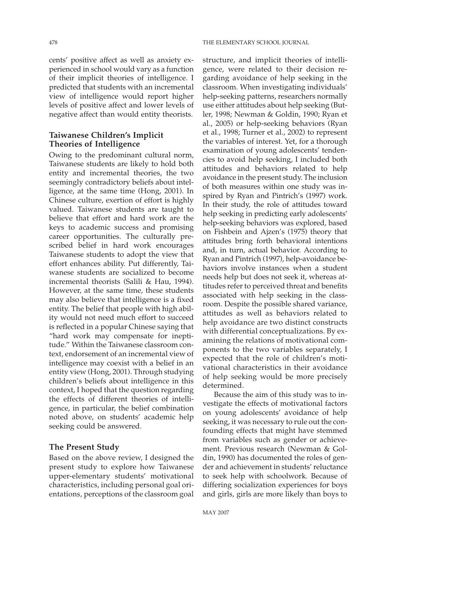cents' positive affect as well as anxiety experienced in school would vary as a function of their implicit theories of intelligence. I predicted that students with an incremental view of intelligence would report higher levels of positive affect and lower levels of negative affect than would entity theorists.

## **Taiwanese Children's Implicit Theories of Intelligence**

Owing to the predominant cultural norm, Taiwanese students are likely to hold both entity and incremental theories, the two seemingly contradictory beliefs about intelligence, at the same time (Hong, 2001). In Chinese culture, exertion of effort is highly valued. Taiwanese students are taught to believe that effort and hard work are the keys to academic success and promising career opportunities. The culturally prescribed belief in hard work encourages Taiwanese students to adopt the view that effort enhances ability. Put differently, Taiwanese students are socialized to become incremental theorists (Salili & Hau, 1994). However, at the same time, these students may also believe that intelligence is a fixed entity. The belief that people with high ability would not need much effort to succeed is reflected in a popular Chinese saying that "hard work may compensate for ineptitude." Within the Taiwanese classroom context, endorsement of an incremental view of intelligence may coexist with a belief in an entity view (Hong, 2001). Through studying children's beliefs about intelligence in this context, I hoped that the question regarding the effects of different theories of intelligence, in particular, the belief combination noted above, on students' academic help seeking could be answered.

### **The Present Study**

Based on the above review, I designed the present study to explore how Taiwanese upper-elementary students' motivational characteristics, including personal goal orientations, perceptions of the classroom goal

structure, and implicit theories of intelligence, were related to their decision regarding avoidance of help seeking in the classroom. When investigating individuals' help-seeking patterns, researchers normally use either attitudes about help seeking (Butler, 1998; Newman & Goldin, 1990; Ryan et al., 2005) or help-seeking behaviors (Ryan et al., 1998; Turner et al., 2002) to represent the variables of interest. Yet, for a thorough examination of young adolescents' tendencies to avoid help seeking, I included both attitudes and behaviors related to help avoidance in the present study. The inclusion of both measures within one study was inspired by Ryan and Pintrich's (1997) work. In their study, the role of attitudes toward help seeking in predicting early adolescents' help-seeking behaviors was explored, based on Fishbein and Ajzen's (1975) theory that attitudes bring forth behavioral intentions and, in turn, actual behavior. According to Ryan and Pintrich (1997), help-avoidance behaviors involve instances when a student needs help but does not seek it, whereas attitudes refer to perceived threat and benefits associated with help seeking in the classroom. Despite the possible shared variance, attitudes as well as behaviors related to help avoidance are two distinct constructs with differential conceptualizations. By examining the relations of motivational components to the two variables separately, I expected that the role of children's motivational characteristics in their avoidance of help seeking would be more precisely determined.

Because the aim of this study was to investigate the effects of motivational factors on young adolescents' avoidance of help seeking, it was necessary to rule out the confounding effects that might have stemmed from variables such as gender or achievement. Previous research (Newman & Goldin, 1990) has documented the roles of gender and achievement in students' reluctance to seek help with schoolwork. Because of differing socialization experiences for boys and girls, girls are more likely than boys to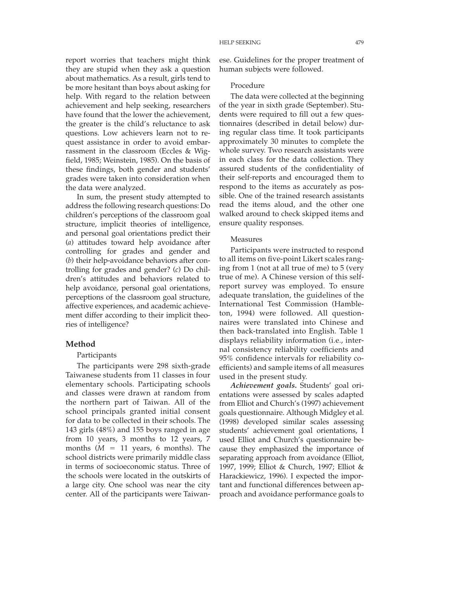report worries that teachers might think they are stupid when they ask a question about mathematics. As a result, girls tend to be more hesitant than boys about asking for help. With regard to the relation between achievement and help seeking, researchers have found that the lower the achievement, the greater is the child's reluctance to ask questions. Low achievers learn not to request assistance in order to avoid embarrassment in the classroom (Eccles & Wigfield, 1985; Weinstein, 1985). On the basis of these findings, both gender and students' grades were taken into consideration when the data were analyzed.

In sum, the present study attempted to address the following research questions: Do children's perceptions of the classroom goal structure, implicit theories of intelligence, and personal goal orientations predict their (*a*) attitudes toward help avoidance after controlling for grades and gender and (*b*) their help-avoidance behaviors after controlling for grades and gender? (*c*) Do children's attitudes and behaviors related to help avoidance, personal goal orientations, perceptions of the classroom goal structure, affective experiences, and academic achievement differ according to their implicit theories of intelligence?

### **Method**

### Participants

The participants were 298 sixth-grade Taiwanese students from 11 classes in four elementary schools. Participating schools and classes were drawn at random from the northern part of Taiwan. All of the school principals granted initial consent for data to be collected in their schools. The 143 girls (48%) and 155 boys ranged in age from 10 years, 3 months to 12 years, 7 months  $(M = 11$  years, 6 months). The school districts were primarily middle class in terms of socioeconomic status. Three of the schools were located in the outskirts of a large city. One school was near the city center. All of the participants were Taiwanese. Guidelines for the proper treatment of human subjects were followed.

### Procedure

The data were collected at the beginning of the year in sixth grade (September). Students were required to fill out a few questionnaires (described in detail below) during regular class time. It took participants approximately 30 minutes to complete the whole survey. Two research assistants were in each class for the data collection. They assured students of the confidentiality of their self-reports and encouraged them to respond to the items as accurately as possible. One of the trained research assistants read the items aloud, and the other one walked around to check skipped items and ensure quality responses.

### Measures

Participants were instructed to respond to all items on five-point Likert scales ranging from 1 (not at all true of me) to 5 (very true of me). A Chinese version of this selfreport survey was employed. To ensure adequate translation, the guidelines of the International Test Commission (Hambleton, 1994) were followed. All questionnaires were translated into Chinese and then back-translated into English. Table 1 displays reliability information (i.e., internal consistency reliability coefficients and 95% confidence intervals for reliability coefficients) and sample items of all measures used in the present study.

*Achievement goals.* Students' goal orientations were assessed by scales adapted from Elliot and Church's (1997) achievement goals questionnaire. Although Midgley et al. (1998) developed similar scales assessing students' achievement goal orientations, I used Elliot and Church's questionnaire because they emphasized the importance of separating approach from avoidance (Elliot, 1997, 1999; Elliot & Church, 1997; Elliot & Harackiewicz, 1996). I expected the important and functional differences between approach and avoidance performance goals to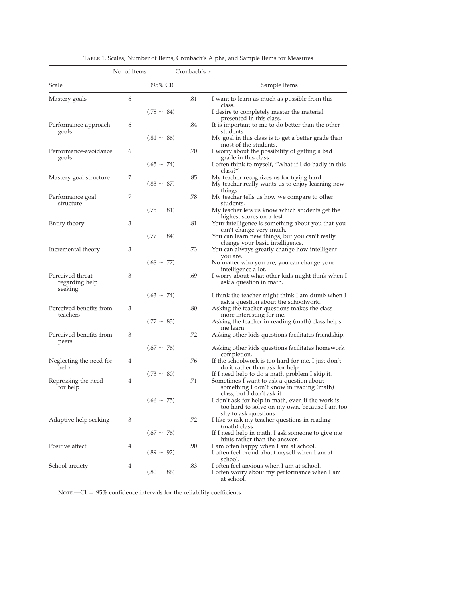|                                               | No. of Items          | Cronbach's $\alpha$ |                                                                                                                                                           |
|-----------------------------------------------|-----------------------|---------------------|-----------------------------------------------------------------------------------------------------------------------------------------------------------|
| Scale                                         | $(95\% \text{ CI})$   |                     | Sample Items                                                                                                                                              |
| Mastery goals                                 | 6                     | .81                 | I want to learn as much as possible from this<br>class.                                                                                                   |
|                                               | $(.78 \sim .84)$      |                     | I desire to completely master the material<br>presented in this class.                                                                                    |
| Performance-approach<br>goals                 | 6                     | .84                 | It is important to me to do better than the other<br>students.                                                                                            |
|                                               | $(.81 \sim .86)$      |                     | My goal in this class is to get a better grade than<br>most of the students.                                                                              |
| Performance-avoidance<br>goals                | 6                     | .70                 | I worry about the possibility of getting a bad<br>grade in this class.                                                                                    |
|                                               | $(.65 \sim .74)$      |                     | I often think to myself, "What if I do badly in this<br>class?"                                                                                           |
| Mastery goal structure                        | 7<br>$(.83 \sim .87)$ | .85                 | My teacher recognizes us for trying hard.<br>My teacher really wants us to enjoy learning new                                                             |
| Performance goal<br>structure                 | 7                     | .78                 | things.<br>My teacher tells us how we compare to other<br>students.                                                                                       |
|                                               | $(.75 \sim .81)$      |                     | My teacher lets us know which students get the<br>highest scores on a test.                                                                               |
| Entity theory                                 | 3                     | .81                 | Your intelligence is something about you that you<br>can't change very much.                                                                              |
|                                               | $(.77 \sim .84)$      |                     | You can learn new things, but you can't really<br>change your basic intelligence.                                                                         |
| Incremental theory                            | 3                     | .73                 | You can always greatly change how intelligent<br>you are.                                                                                                 |
|                                               | $(.68 \sim .77)$      |                     | No matter who you are, you can change your<br>intelligence a lot.                                                                                         |
| Perceived threat<br>regarding help<br>seeking | 3                     | .69                 | I worry about what other kids might think when I<br>ask a question in math.                                                                               |
|                                               | $(.63 \sim .74)$      |                     | I think the teacher might think I am dumb when I<br>ask a question about the schoolwork.                                                                  |
| Perceived benefits from<br>teachers           | 3                     | .80                 | Asking the teacher questions makes the class<br>more interesting for me.                                                                                  |
|                                               | $(.77 \sim .83)$      |                     | Asking the teacher in reading (math) class helps<br>me learn.                                                                                             |
| Perceived benefits from<br>peers              | 3                     | .72                 | Asking other kids questions facilitates friendship.                                                                                                       |
|                                               | $(.67 \sim .76)$      |                     | Asking other kids questions facilitates homework<br>completion.                                                                                           |
| Neglecting the need for<br>help               | 4                     | .76                 | If the schoolwork is too hard for me, I just don't<br>do it rather than ask for help.                                                                     |
| Repressing the need<br>for help               | $(.73 \sim .80)$<br>4 | .71                 | If I need help to do a math problem I skip it.<br>Sometimes I want to ask a question about<br>something I don't know in reading (math)                    |
|                                               | $(.66 \sim .75)$      |                     | class, but I don't ask it.<br>I don't ask for help in math, even if the work is<br>too hard to solve on my own, because I am too<br>shy to ask questions. |
| Adaptive help seeking                         | 3                     | .72                 | I like to ask my teacher questions in reading<br>(math) class.                                                                                            |
|                                               | $(.67 \sim .76)$      |                     | If I need help in math, I ask someone to give me<br>hints rather than the answer.                                                                         |
| Positive affect                               | 4<br>$(.89 \sim .92)$ | .90                 | I am often happy when I am at school.<br>I often feel proud about myself when I am at                                                                     |
| School anxiety                                | 4                     | .83                 | school.<br>I often feel anxious when I am at school.                                                                                                      |
|                                               | $(.80 \sim .86)$      |                     | I often worry about my performance when I am<br>at school.                                                                                                |

Table 1. Scales, Number of Items, Cronbach's Alpha, and Sample Items for Measures

NOTE.— $CI = 95\%$  confidence intervals for the reliability coefficients.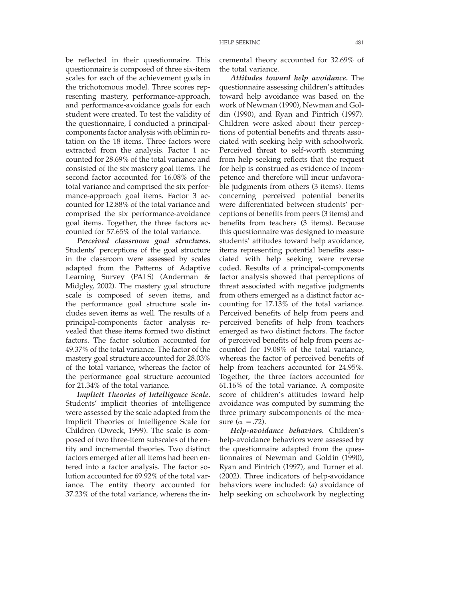be reflected in their questionnaire. This questionnaire is composed of three six-item scales for each of the achievement goals in the trichotomous model. Three scores representing mastery, performance-approach, and performance-avoidance goals for each student were created. To test the validity of the questionnaire, I conducted a principalcomponents factor analysis with oblimin rotation on the 18 items. Three factors were extracted from the analysis. Factor 1 accounted for 28.69% of the total variance and consisted of the six mastery goal items. The second factor accounted for 16.08% of the total variance and comprised the six performance-approach goal items. Factor 3 accounted for 12.88% of the total variance and comprised the six performance-avoidance goal items. Together, the three factors accounted for 57.65% of the total variance.

*Perceived classroom goal structures.* Students' perceptions of the goal structure in the classroom were assessed by scales adapted from the Patterns of Adaptive Learning Survey (PALS) (Anderman & Midgley, 2002). The mastery goal structure scale is composed of seven items, and the performance goal structure scale includes seven items as well. The results of a principal-components factor analysis revealed that these items formed two distinct factors. The factor solution accounted for 49.37% of the total variance. The factor of the mastery goal structure accounted for 28.03% of the total variance, whereas the factor of the performance goal structure accounted for 21.34% of the total variance.

*Implicit Theories of Intelligence Scale.* Students' implicit theories of intelligence were assessed by the scale adapted from the Implicit Theories of Intelligence Scale for Children (Dweck, 1999). The scale is composed of two three-item subscales of the entity and incremental theories. Two distinct factors emerged after all items had been entered into a factor analysis. The factor solution accounted for 69.92% of the total variance. The entity theory accounted for 37.23% of the total variance, whereas the incremental theory accounted for 32.69% of the total variance.

*Attitudes toward help avoidance.* The questionnaire assessing children's attitudes toward help avoidance was based on the work of Newman (1990), Newman and Goldin (1990), and Ryan and Pintrich (1997). Children were asked about their perceptions of potential benefits and threats associated with seeking help with schoolwork. Perceived threat to self-worth stemming from help seeking reflects that the request for help is construed as evidence of incompetence and therefore will incur unfavorable judgments from others (3 items). Items concerning perceived potential benefits were differentiated between students' perceptions of benefits from peers (3 items) and benefits from teachers (3 items). Because this questionnaire was designed to measure students' attitudes toward help avoidance, items representing potential benefits associated with help seeking were reverse coded. Results of a principal-components factor analysis showed that perceptions of threat associated with negative judgments from others emerged as a distinct factor accounting for 17.13% of the total variance. Perceived benefits of help from peers and perceived benefits of help from teachers emerged as two distinct factors. The factor of perceived benefits of help from peers accounted for 19.08% of the total variance, whereas the factor of perceived benefits of help from teachers accounted for 24.95%. Together, the three factors accounted for 61.16% of the total variance. A composite score of children's attitudes toward help avoidance was computed by summing the three primary subcomponents of the measure ( $\alpha = .72$ ).

*Help-avoidance behaviors.* Children's help-avoidance behaviors were assessed by the questionnaire adapted from the questionnaires of Newman and Goldin (1990), Ryan and Pintrich (1997), and Turner et al. (2002). Three indicators of help-avoidance behaviors were included: (*a*) avoidance of help seeking on schoolwork by neglecting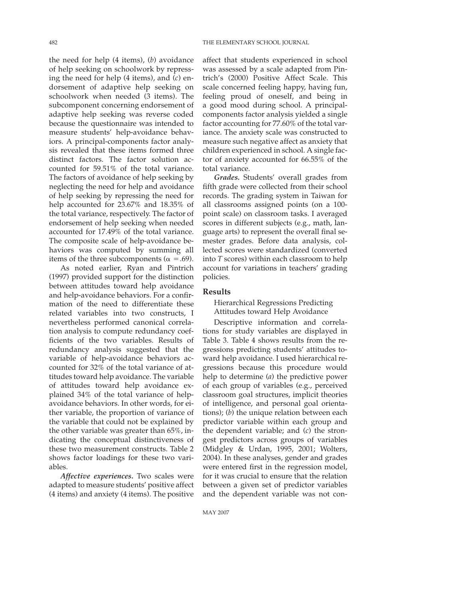the need for help (4 items), (*b*) avoidance of help seeking on schoolwork by repressing the need for help (4 items), and (*c*) endorsement of adaptive help seeking on schoolwork when needed (3 items). The subcomponent concerning endorsement of adaptive help seeking was reverse coded because the questionnaire was intended to measure students' help-avoidance behaviors. A principal-components factor analysis revealed that these items formed three distinct factors. The factor solution accounted for 59.51% of the total variance. The factors of avoidance of help seeking by neglecting the need for help and avoidance of help seeking by repressing the need for help accounted for 23.67% and 18.35% of the total variance, respectively. The factor of endorsement of help seeking when needed accounted for 17.49% of the total variance. The composite scale of help-avoidance behaviors was computed by summing all items of the three subcomponents ( $\alpha = .69$ ).

As noted earlier, Ryan and Pintrich (1997) provided support for the distinction between attitudes toward help avoidance and help-avoidance behaviors. For a confirmation of the need to differentiate these related variables into two constructs, I nevertheless performed canonical correlation analysis to compute redundancy coefficients of the two variables. Results of redundancy analysis suggested that the variable of help-avoidance behaviors accounted for 32% of the total variance of attitudes toward help avoidance. The variable of attitudes toward help avoidance explained 34% of the total variance of helpavoidance behaviors. In other words, for either variable, the proportion of variance of the variable that could not be explained by the other variable was greater than 65%, indicating the conceptual distinctiveness of these two measurement constructs. Table 2 shows factor loadings for these two variables.

*Affective experiences.* Two scales were adapted to measure students' positive affect (4 items) and anxiety (4 items). The positive

affect that students experienced in school was assessed by a scale adapted from Pintrich's (2000) Positive Affect Scale. This scale concerned feeling happy, having fun, feeling proud of oneself, and being in a good mood during school. A principalcomponents factor analysis yielded a single factor accounting for 77.60% of the total variance. The anxiety scale was constructed to measure such negative affect as anxiety that children experienced in school. A single factor of anxiety accounted for 66.55% of the total variance.

*Grades.* Students' overall grades from fifth grade were collected from their school records. The grading system in Taiwan for all classrooms assigned points (on a 100 point scale) on classroom tasks. I averaged scores in different subjects (e.g., math, language arts) to represent the overall final semester grades. Before data analysis, collected scores were standardized (converted into *T* scores) within each classroom to help account for variations in teachers' grading policies.

### **Results**

Hierarchical Regressions Predicting Attitudes toward Help Avoidance

Descriptive information and correlations for study variables are displayed in Table 3. Table 4 shows results from the regressions predicting students' attitudes toward help avoidance. I used hierarchical regressions because this procedure would help to determine (*a*) the predictive power of each group of variables (e.g., perceived classroom goal structures, implicit theories of intelligence, and personal goal orientations); (*b*) the unique relation between each predictor variable within each group and the dependent variable; and (*c*) the strongest predictors across groups of variables (Midgley & Urdan, 1995, 2001; Wolters, 2004). In these analyses, gender and grades were entered first in the regression model, for it was crucial to ensure that the relation between a given set of predictor variables and the dependent variable was not con-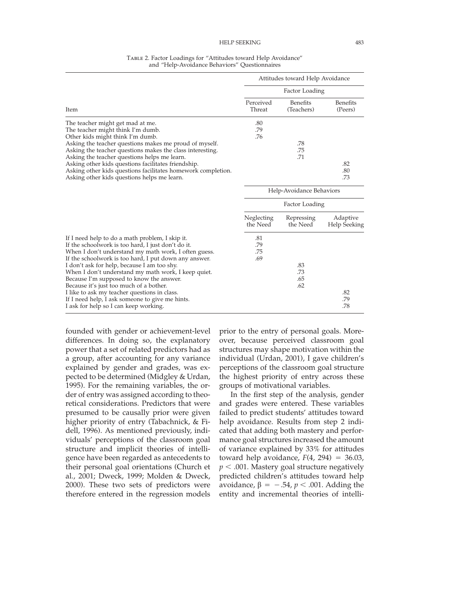#### HELP SEEKING 483

|                                                                                                                                                                                                                                                                                                                                                                                                                                                                                                                                                                 | Attitudes toward Help Avoidance<br>Factor Loading |                               |                            |  |  |
|-----------------------------------------------------------------------------------------------------------------------------------------------------------------------------------------------------------------------------------------------------------------------------------------------------------------------------------------------------------------------------------------------------------------------------------------------------------------------------------------------------------------------------------------------------------------|---------------------------------------------------|-------------------------------|----------------------------|--|--|
|                                                                                                                                                                                                                                                                                                                                                                                                                                                                                                                                                                 |                                                   |                               |                            |  |  |
| Item                                                                                                                                                                                                                                                                                                                                                                                                                                                                                                                                                            | Perceived<br>Threat                               | <b>Benefits</b><br>(Teachers) | <b>Benefits</b><br>(Peers) |  |  |
| The teacher might get mad at me.<br>The teacher might think I'm dumb.<br>Other kids might think I'm dumb.<br>Asking the teacher questions makes me proud of myself.<br>Asking the teacher questions makes the class interesting.<br>Asking the teacher questions helps me learn.<br>Asking other kids questions facilitates friendship.<br>Asking other kids questions facilitates homework completion.<br>Asking other kids questions helps me learn.                                                                                                          | .80<br>.79<br>.76                                 | .78<br>.75<br>.71             | .82<br>.80<br>.73          |  |  |
|                                                                                                                                                                                                                                                                                                                                                                                                                                                                                                                                                                 |                                                   | Help-Avoidance Behaviors      |                            |  |  |
|                                                                                                                                                                                                                                                                                                                                                                                                                                                                                                                                                                 |                                                   | Factor Loading                |                            |  |  |
|                                                                                                                                                                                                                                                                                                                                                                                                                                                                                                                                                                 | Neglecting<br>the Need                            | Repressing<br>the Need        | Adaptive<br>Help Seeking   |  |  |
| If I need help to do a math problem, I skip it.<br>If the schoolwork is too hard, I just don't do it.<br>When I don't understand my math work, I often guess.<br>If the schoolwork is too hard, I put down any answer.<br>I don't ask for help, because I am too shy.<br>When I don't understand my math work, I keep quiet.<br>Because I'm supposed to know the answer.<br>Because it's just too much of a bother.<br>I like to ask my teacher questions in class.<br>If I need help, I ask someone to give me hints.<br>I ask for help so I can keep working. | .81<br>.79<br>.75<br>.69                          | .83<br>.73<br>.65<br>.62      | .82<br>.79<br>.78          |  |  |

#### Table 2. Factor Loadings for "Attitudes toward Help Avoidance" and "Help-Avoidance Behaviors" Questionnaires

founded with gender or achievement-level differences. In doing so, the explanatory power that a set of related predictors had as a group, after accounting for any variance explained by gender and grades, was expected to be determined (Midgley & Urdan, 1995). For the remaining variables, the order of entry was assigned according to theoretical considerations. Predictors that were presumed to be causally prior were given higher priority of entry (Tabachnick, & Fidell, 1996). As mentioned previously, individuals' perceptions of the classroom goal structure and implicit theories of intelligence have been regarded as antecedents to their personal goal orientations (Church et al., 2001; Dweck, 1999; Molden & Dweck, 2000). These two sets of predictors were therefore entered in the regression models

prior to the entry of personal goals. Moreover, because perceived classroom goal structures may shape motivation within the individual (Urdan, 2001), I gave children's perceptions of the classroom goal structure the highest priority of entry across these groups of motivational variables.

In the first step of the analysis, gender and grades were entered. These variables failed to predict students' attitudes toward help avoidance. Results from step 2 indicated that adding both mastery and performance goal structures increased the amount of variance explained by 33% for attitudes toward help avoidance,  $F(4, 294) = 36.03$ ,  $p < .001$ . Mastery goal structure negatively predicted children's attitudes toward help avoidance,  $\beta = -.54$ ,  $p < .001$ . Adding the entity and incremental theories of intelli-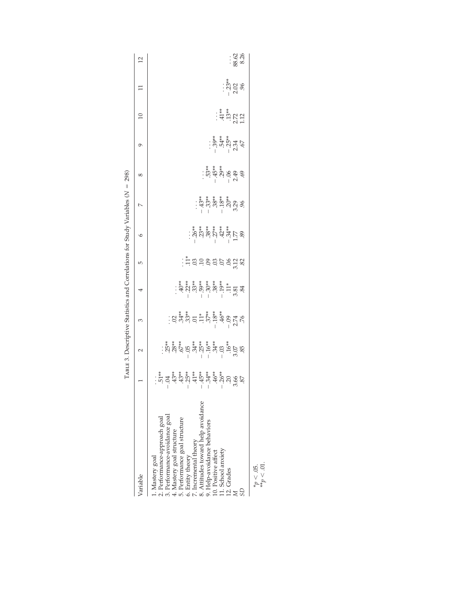|                                         | TABLE 3. Descriptive Statistics and Correlations for Study Variables (N = |   |   |   |                                                                                                                                               |            |                    | 298)       |                                                                                                                                                                                                                                          |                                                                                                                     |                         |                   |
|-----------------------------------------|---------------------------------------------------------------------------|---|---|---|-----------------------------------------------------------------------------------------------------------------------------------------------|------------|--------------------|------------|------------------------------------------------------------------------------------------------------------------------------------------------------------------------------------------------------------------------------------------|---------------------------------------------------------------------------------------------------------------------|-------------------------|-------------------|
| Variable                                |                                                                           | 2 | 3 | 4 | 5                                                                                                                                             | $^{\circ}$ | $\scriptstyle\sim$ | $^{\circ}$ | Ó                                                                                                                                                                                                                                        | $\overline{10}$                                                                                                     |                         | 12                |
| . Mastery goal                          |                                                                           |   |   |   |                                                                                                                                               |            |                    |            |                                                                                                                                                                                                                                          |                                                                                                                     |                         |                   |
| 2. Performance-approach goal            |                                                                           |   |   |   |                                                                                                                                               |            |                    |            |                                                                                                                                                                                                                                          |                                                                                                                     |                         |                   |
| 3. Performance-avoidance goal           |                                                                           |   |   |   |                                                                                                                                               |            |                    |            |                                                                                                                                                                                                                                          |                                                                                                                     |                         |                   |
| 4. Mastery goal structure               |                                                                           |   |   |   |                                                                                                                                               |            |                    |            |                                                                                                                                                                                                                                          |                                                                                                                     |                         |                   |
| 5. Performance goal structure           |                                                                           |   |   |   |                                                                                                                                               |            |                    |            |                                                                                                                                                                                                                                          |                                                                                                                     |                         |                   |
| 6. Entity theory                        |                                                                           |   |   |   |                                                                                                                                               |            |                    |            |                                                                                                                                                                                                                                          |                                                                                                                     |                         |                   |
| 7. Incremental theory                   |                                                                           |   |   |   |                                                                                                                                               |            |                    |            |                                                                                                                                                                                                                                          |                                                                                                                     |                         |                   |
| 8. Attitudes toward help avoidance      |                                                                           |   |   |   |                                                                                                                                               |            |                    |            |                                                                                                                                                                                                                                          |                                                                                                                     |                         |                   |
| 9. Help-avoidance behaviors             |                                                                           |   |   |   |                                                                                                                                               |            |                    |            |                                                                                                                                                                                                                                          |                                                                                                                     |                         |                   |
| 10. Positive affect                     |                                                                           |   |   |   |                                                                                                                                               |            |                    |            |                                                                                                                                                                                                                                          |                                                                                                                     |                         |                   |
|                                         |                                                                           |   |   |   |                                                                                                                                               |            |                    |            |                                                                                                                                                                                                                                          |                                                                                                                     |                         |                   |
| 11. School anxiety<br>12. Grades<br>$M$ |                                                                           |   |   |   |                                                                                                                                               |            |                    |            |                                                                                                                                                                                                                                          |                                                                                                                     |                         |                   |
|                                         |                                                                           |   |   |   | $\frac{1}{2}$ . $\frac{1}{2}$ . $\frac{1}{2}$ . $\frac{1}{2}$ . $\frac{1}{2}$ . $\frac{1}{2}$ . $\frac{1}{2}$ . $\frac{1}{2}$ . $\frac{1}{2}$ |            |                    |            | $\begin{array}{c} \vdots \overset{*}{\Rightarrow} \overset{*}{\Rightarrow} \overset{*}{\Rightarrow} \\ \vdots \overset{*}{\Rightarrow} \overset{*}{\Rightarrow} \overset{*}{\Rightarrow} \overset{*}{\Rightarrow} \\ \vdots \end{array}$ | $\frac{1}{4}$<br>$\frac{1}{3}$<br>$\frac{3}{1}$<br>$\frac{1}{1}$<br>$\frac{2}{1}$<br>$\frac{1}{1}$<br>$\frac{2}{1}$ | $-23**$<br>2.02<br>2.02 | $\frac{1}{88.62}$ |
|                                         |                                                                           |   |   |   |                                                                                                                                               |            |                    |            |                                                                                                                                                                                                                                          |                                                                                                                     |                         |                   |

\**p* - $\sim$ 

 $\stackrel{d_{**}}{=}$  $\frac{1}{\sqrt{2}}$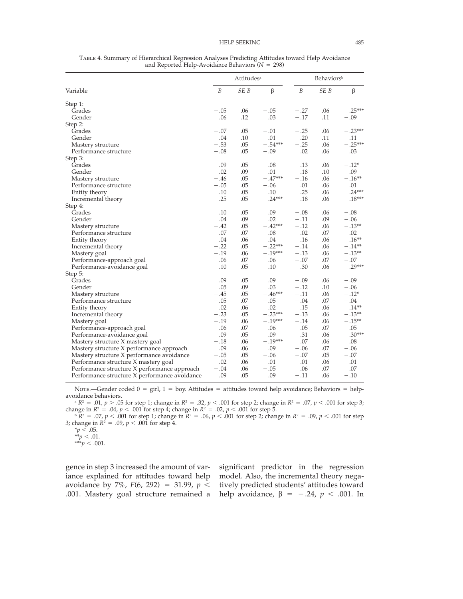|                                               |                | <b>Attitudes</b> <sup>a</sup> |           | Behaviorsb       |                 |           |
|-----------------------------------------------|----------------|-------------------------------|-----------|------------------|-----------------|-----------|
| Variable                                      | $\overline{B}$ | SE <sub>B</sub>               | $\beta$   | $\boldsymbol{B}$ | SE <sub>B</sub> | $\beta$   |
| Step 1:                                       |                |                               |           |                  |                 |           |
| Grades                                        | $-.05$         | .06                           | $-.05$    | $-.27$           | .06             | $.25***$  |
| Gender                                        | .06            | .12                           | .03       | $-.17$           | .11             | $-.09$    |
| Step 2:                                       |                |                               |           |                  |                 |           |
| Grades                                        | $-.07$         | .05                           | $-.01$    | $-.25$           | .06             | $-.23***$ |
| Gender                                        | $-.04$         | .10                           | .01       | $-.20$           | .11             | $-.11$    |
| Mastery structure                             | $-.53$         | .05                           | $-.54***$ | $-.25$           | .06             | $-.25***$ |
| Performance structure                         | $-.08$         | .05                           | $-.09$    | .02              | .06             | .03       |
| Step 3:                                       |                |                               |           |                  |                 |           |
| Grades                                        | .09            | .05                           | .08       | .13              | .06             | $-.12*$   |
| Gender                                        | .02            | .09                           | .01       | $-.18$           | .10             | $-.09$    |
| Mastery structure                             | $-.46$         | .05                           | $-.47***$ | $-.16$           | .06             | $-.16**$  |
| Performance structure                         | $-.05$         | .05                           | $-.06$    | .01              | .06             | .01       |
| Entity theory                                 | .10            | .05                           | .10       | .25              | .06             | $.24***$  |
| Incremental theory                            | $-.25$         | .05                           | $-.24***$ | $-.18$           | .06             | $-.18***$ |
| Step 4:                                       |                |                               |           |                  |                 |           |
| Grades                                        | .10            | .05                           | .09       | $-.08$           | .06             | $-.08$    |
| Gender                                        | .04            | .09                           | .02       | $-.11$           | .09             | $-.06$    |
| Mastery structure                             | $-.42$         | .05                           | $-.42***$ | $-.12$           | .06             | $-.13**$  |
| Performance structure                         | $-.07$         | .07                           | $-.08$    | $-.02$           | .07             | $-.02$    |
| Entity theory                                 | .04            | .06                           | .04       | .16              | .06             | $.16**$   |
| Incremental theory                            | $-.22$         | .05                           | $-.22***$ | $-.14$           | .06             | $-.14**$  |
| Mastery goal                                  | $-.19$         | .06                           | $-.19***$ | $-.13$           | .06             | $-.13**$  |
| Performance-approach goal                     | .06            | .07                           | .06       | $-.07$           | .07             | $-.07$    |
| Performance-avoidance goal                    | .10            | .05                           | .10       | .30              | .06             | $.29***$  |
| Step 5:                                       |                |                               |           |                  |                 |           |
| Grades                                        | .09            | .05                           | .09       | $-.09$           | .06             | $-.09$    |
| Gender                                        | .05            | .09                           | .03       | $-.12$           | .10             | $-.06$    |
| Mastery structure                             | $-.45$         | .05                           | $-.46***$ | $-.11$           | .06             | $-.12*$   |
| Performance structure                         | $-.05$         | .07                           | $-.05$    | $-.04$           | .07             | $-.04$    |
| Entity theory                                 | .02            | .06                           | .02       | .15              | .06             | $.14**$   |
| Incremental theory                            | $-.23$         | .05                           | $-.23***$ | $-.13$           | .06             | $-.13**$  |
| Mastery goal                                  | $-.19$         | .06                           | $-.19***$ | $-.14$           | .06             | $-.15**$  |
| Performance-approach goal                     | .06            | .07                           | .06       | $-.05$           | .07             | $-.05$    |
| Performance-avoidance goal                    | .09            | .05                           | .09       | .31              | .06             | $.30***$  |
| Mastery structure X mastery goal              | $-.18$         | .06                           | $-.19***$ | .07              | .06             | .08       |
| Mastery structure X performance approach      | .09            | .06                           | .09       | $-.06$           | .07             | $-.06$    |
| Mastery structure X performance avoidance     | $-.05$         | .05                           | $-.06$    | $-.07$           | .05             | $-.07$    |
| Performance structure X mastery goal          | .02            | .06                           | .01       | .01              | .06             | .01       |
| Performance structure X performance approach  | $-.04$         | .06                           | $-.05$    | .06              | .07             | .07       |
| Performance structure X performance avoidance | .09            | .05                           | .09       | $-.11$           | .06             | $-.10$    |

Table 4. Summary of Hierarchical Regression Analyses Predicting Attitudes toward Help Avoidance and Reported Help-Avoidance Behaviors ( $N = 298$ )

Nore.—Gender coded  $0 = \text{girl}$ ,  $1 = \text{boy}$ . Attitudes = attitudes toward help avoidance; Behaviors = helpavoidance behaviors.

 $a^a R^2 = .01, p > .05$  for step 1; change in  $R^2 = .32, p < .001$  for step 2; change in  $R^2 = .07, p < .001$  for step 3; change in  $R^2 = .04$ ,  $p < .001$  for step 4; change in  $R^2 = .02$ ,  $p < .001$  for step 5.

 $b^{\text{b}} R^2 = .07$ ,  $p < .001$  for step 1; change in  $R^2 = .06$ ,  $p < .001$  for step 2; change in  $R^2 = .09$ ,  $p < .001$  for step 3; change in  $R^2 = .09$ ,  $p < .001$  for step 4.

 $*_{p}$  < .05.

 $*$ <sup>\*</sup> $p$  < .01.  $^{***}p < .001$ .

gence in step 3 increased the amount of variance explained for attitudes toward help avoidance by 7%,  $F(6, 292) = 31.99$ ,  $p <$ .001. Mastery goal structure remained a

significant predictor in the regression model. Also, the incremental theory negatively predicted students' attitudes toward help avoidance,  $\beta = -.24, p < .001$ . In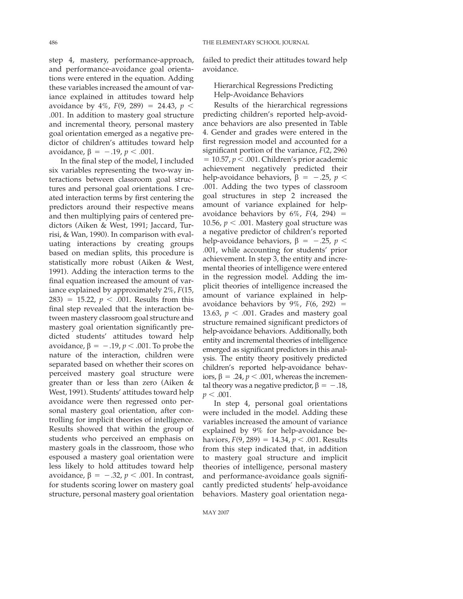step 4, mastery, performance-approach, and performance-avoidance goal orientations were entered in the equation. Adding these variables increased the amount of variance explained in attitudes toward help avoidance by 4%,  $F(9, 289) = 24.43$ ,  $p <$ .001. In addition to mastery goal structure and incremental theory, personal mastery goal orientation emerged as a negative predictor of children's attitudes toward help avoidance,  $\beta = -0.19$ ,  $p < 0.001$ .

In the final step of the model, I included six variables representing the two-way interactions between classroom goal structures and personal goal orientations. I created interaction terms by first centering the predictors around their respective means and then multiplying pairs of centered predictors (Aiken & West, 1991; Jaccard, Turrisi, & Wan, 1990). In comparison with evaluating interactions by creating groups based on median splits, this procedure is statistically more robust (Aiken & West, 1991). Adding the interaction terms to the final equation increased the amount of variance explained by approximately 2%, *F*(15,  $(283)$  = 15.22,  $p < .001$ . Results from this final step revealed that the interaction between mastery classroom goal structure and mastery goal orientation significantly predicted students' attitudes toward help avoidance,  $\beta = -.19$ ,  $p < .001$ . To probe the nature of the interaction, children were separated based on whether their scores on perceived mastery goal structure were greater than or less than zero (Aiken & West, 1991). Students' attitudes toward help avoidance were then regressed onto personal mastery goal orientation, after controlling for implicit theories of intelligence. Results showed that within the group of students who perceived an emphasis on mastery goals in the classroom, those who espoused a mastery goal orientation were less likely to hold attitudes toward help avoidance,  $\beta = -.32$ ,  $p < .001$ . In contrast, for students scoring lower on mastery goal structure, personal mastery goal orientation

failed to predict their attitudes toward help avoidance.

Hierarchical Regressions Predicting Help-Avoidance Behaviors

Results of the hierarchical regressions predicting children's reported help-avoidance behaviors are also presented in Table 4. Gender and grades were entered in the first regression model and accounted for a significant portion of the variance, *F*(2, 296)  $= 10.57$ ,  $p < .001$ . Children's prior academic achievement negatively predicted their help-avoidance behaviors,  $\beta$  =  $-$ .25,  $p$  < .001. Adding the two types of classroom goal structures in step 2 increased the amount of variance explained for helpavoidance behaviors by  $6\%$ ,  $F(4, 294) =$ 10.56,  $p <$  .001. Mastery goal structure was a negative predictor of children's reported help-avoidance behaviors,  $\beta$  =  $-$ .25,  $p$  < .001, while accounting for students' prior achievement. In step 3, the entity and incremental theories of intelligence were entered in the regression model. Adding the implicit theories of intelligence increased the amount of variance explained in helpavoidance behaviors by  $9\%$ ,  $F(6, 292) =$ 13.63,  $p < .001$ . Grades and mastery goal structure remained significant predictors of help-avoidance behaviors. Additionally, both entity and incremental theories of intelligence emerged as significant predictors in this analysis. The entity theory positively predicted children's reported help-avoidance behaviors,  $\beta = .24$ ,  $p < .001$ , whereas the incremental theory was a negative predictor,  $\beta = -.18$ ,  $p < .001$ .

In step 4, personal goal orientations were included in the model. Adding these variables increased the amount of variance explained by 9% for help-avoidance behaviors*, F*(9, 289) = 14.34, *p* < .001. Results from this step indicated that, in addition to mastery goal structure and implicit theories of intelligence, personal mastery and performance-avoidance goals significantly predicted students' help-avoidance behaviors. Mastery goal orientation nega-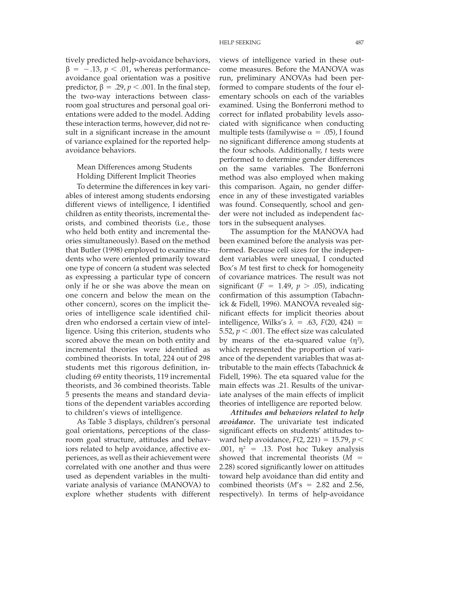tively predicted help-avoidance behaviors,  $\beta$  =  $-$ .13,  $p$  < .01, whereas performanceavoidance goal orientation was a positive predictor,  $\beta = .29$ ,  $p < .001$ . In the final step, the two-way interactions between classroom goal structures and personal goal orientations were added to the model. Adding these interaction terms, however, did not result in a significant increase in the amount of variance explained for the reported helpavoidance behaviors.

# Mean Differences among Students Holding Different Implicit Theories

To determine the differences in key variables of interest among students endorsing different views of intelligence, I identified children as entity theorists, incremental theorists, and combined theorists (i.e., those who held both entity and incremental theories simultaneously). Based on the method that Butler (1998) employed to examine students who were oriented primarily toward one type of concern (a student was selected as expressing a particular type of concern only if he or she was above the mean on one concern and below the mean on the other concern), scores on the implicit theories of intelligence scale identified children who endorsed a certain view of intelligence. Using this criterion, students who scored above the mean on both entity and incremental theories were identified as combined theorists. In total, 224 out of 298 students met this rigorous definition, including 69 entity theorists, 119 incremental theorists, and 36 combined theorists. Table 5 presents the means and standard deviations of the dependent variables according to children's views of intelligence.

As Table 3 displays, children's personal goal orientations, perceptions of the classroom goal structure, attitudes and behaviors related to help avoidance, affective experiences, as well as their achievement were correlated with one another and thus were used as dependent variables in the multivariate analysis of variance (MANOVA) to explore whether students with different

views of intelligence varied in these outcome measures. Before the MANOVA was run, preliminary ANOVAs had been performed to compare students of the four elementary schools on each of the variables examined. Using the Bonferroni method to correct for inflated probability levels associated with significance when conducting multiple tests (familywise  $\alpha = .05$ ), I found no significant difference among students at the four schools. Additionally, *t* tests were performed to determine gender differences on the same variables. The Bonferroni method was also employed when making this comparison. Again, no gender difference in any of these investigated variables was found. Consequently, school and gender were not included as independent factors in the subsequent analyses.

The assumption for the MANOVA had been examined before the analysis was performed. Because cell sizes for the independent variables were unequal, I conducted Box's *M* test first to check for homogeneity of covariance matrices. The result was not significant  $(F = 1.49, p > .05)$ , indicating confirmation of this assumption (Tabachnick & Fidell, 1996). MANOVA revealed significant effects for implicit theories about intelligence, Wilks's  $\lambda = .63$ ,  $F(20, 424) =$ 5.52*, p*  $<$  .001. The effect size was calculated by means of the eta-squared value  $(\eta^2)$ , which represented the proportion of variance of the dependent variables that was attributable to the main effects (Tabachnick & Fidell, 1996). The eta squared value for the main effects was .21. Results of the univariate analyses of the main effects of implicit theories of intelligence are reported below.

*Attitudes and behaviors related to help avoidance.* The univariate test indicated significant effects on students' attitudes toward help avoidance*, F*(2, 221) = 15.79,  $p$  < .001,  $\eta^2$  = .13. Post hoc Tukey analysis showed that incremental theorists  $(M =$ 2.28) scored significantly lower on attitudes toward help avoidance than did entity and combined theorists  $(M's = 2.82$  and 2.56, respectively). In terms of help-avoidance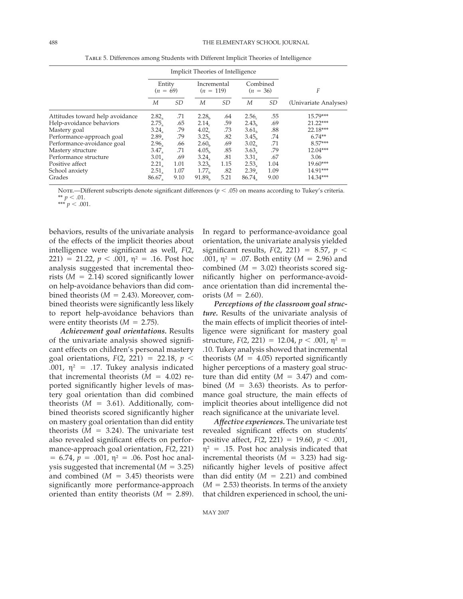|                                 |                  |               | Implicit Theories of Intelligence |           |                        |           |                       |
|---------------------------------|------------------|---------------|-----------------------------------|-----------|------------------------|-----------|-----------------------|
|                                 | Entity<br>$(n =$ | <sup>69</sup> | Incremental<br>$(n = 119)$        |           | Combined<br>$(n = 36)$ |           | F                     |
|                                 | M                | <b>SD</b>     | М                                 | <i>SD</i> | M                      | <i>SD</i> | (Univariate Analyses) |
| Attitudes toward help avoidance | 2.82.            | .71           | 2.28 <sub>b</sub>                 | .64       | $2.56_c$               | .55       | 15.79***              |
| Help-avoidance behaviors        | 2.75             | .65           | 2.14 <sub>c</sub>                 | .59       | 2.43 <sub>b</sub>      | .69       | $21.22***$            |
| Mastery goal                    | 3.24.            | .79           | 4.02 <sub>c</sub>                 | .73       | 3.61 <sub>b</sub>      | .88       | 22.18***              |
| Performance-approach goal       | $2.89_a$         | .79           | 3.25 <sub>b</sub>                 | .82       | 3.45 <sub>b</sub>      | .74       | $6.74**$              |
| Performance-avoidance goal      | 2.96             | .66           | 2.60 <sub>b</sub>                 | .69       | $3.02_a$               | .71       | $8.57***$             |
| Mastery structure               | 3.47.            | .71           | 4.05 <sub>b</sub>                 | .85       | 3.63.                  | .79       | 12.04***              |
| Performance structure           | $3.01$ ,         | .69           | 3.24                              | .81       | $3.31$ ,               | .67       | 3.06                  |
| Positive affect                 | 2.21             | 1.01          | 3.23 <sub>b</sub>                 | 1.15      | 2.53                   | 1.04      | 19.60***              |
| School anxiety                  | $2.51$ ,         | 1.07          | 1.77 <sub>b</sub>                 | .82       | 2.39 <sub>a</sub>      | 1.09      | 14.91***              |
| Grades                          | 86.67.           | 9.10          | 91.89 <sub>b</sub>                | 5.21      | 86.74.                 | 9.00      | 14.34***              |

Table 5. Differences among Students with Different Implicit Theories of Intelligence

Nore.—Different subscripts denote significant differences ( $p < .05$ ) on means according to Tukey's criteria.  $*$  *p*  $< .01$ .

\*\*\*  $p < .001$ .

behaviors, results of the univariate analysis of the effects of the implicit theories about intelligence were significant as well, *F*(2, 221) = 21.22,  $p < .001$ ,  $\eta^2 = .16$ . Post hoc analysis suggested that incremental theorists  $(M = 2.14)$  scored significantly lower on help-avoidance behaviors than did com $b$ ined theorists ( $M = 2.43$ ). Moreover, combined theorists were significantly less likely to report help-avoidance behaviors than were entity theorists  $(M = 2.75)$ .

*Achievement goal orientations.* Results of the univariate analysis showed significant effects on children's personal mastery  $\text{goal orientations, } F(2, 221) = 22.18, p < 0$ .001,  $\eta^2$  = .17. Tukey analysis indicated that incremental theorists  $(M = 4.02)$  reported significantly higher levels of mastery goal orientation than did combined theorists  $(M = 3.61)$ . Additionally, combined theorists scored significantly higher on mastery goal orientation than did entity theorists  $(M = 3.24)$ . The univariate test also revealed significant effects on performance-approach goal orientation, *F*(2, 221)  $= 6.74, p = .001, \eta^2 = .06$ . Post hoc anal $y$ sis suggested that incremental  $(M = 3.25)$ and combined  $(M = 3.45)$  theorists were significantly more performance-approach oriented than entity theorists  $(M = 2.89)$ .

In regard to performance-avoidance goal orientation, the univariate analysis yielded  ${\rm significant\,\,\, results},\,\, F(2,\,\,221)\,\,=\,\,8.57,\,\,p\,\,<$ .001,  $\eta^2 = .07$ . Both entity (*M* = 2.96) and combined  $(M = 3.02)$  theorists scored significantly higher on performance-avoidance orientation than did incremental theorists  $(M = 2.60)$ .

*Perceptions of the classroom goal structure.* Results of the univariate analysis of the main effects of implicit theories of intelligence were significant for mastery goal structure,  $F(2, 221) = 12.04$ ,  $p < .001$ ,  $\eta^2 =$ .10. Tukey analysis showed that incremental theorists  $(M = 4.05)$  reported significantly higher perceptions of a mastery goal structure than did entity  $(M = 3.47)$  and combined  $(M = 3.63)$  theorists. As to performance goal structure, the main effects of implicit theories about intelligence did not reach significance at the univariate level.

*Affective experiences.* The univariate test revealed significant effects on students' positive affect,  $F(2, 221) = 19.60$ ,  $p < .001$ ,  $\eta^2$  = .15. Post hoc analysis indicated that incremental theorists  $(M = 3.23)$  had significantly higher levels of positive affect than did entity  $(M = 2.21)$  and combined  $(M = 2.53)$  theorists. In terms of the anxiety that children experienced in school, the uni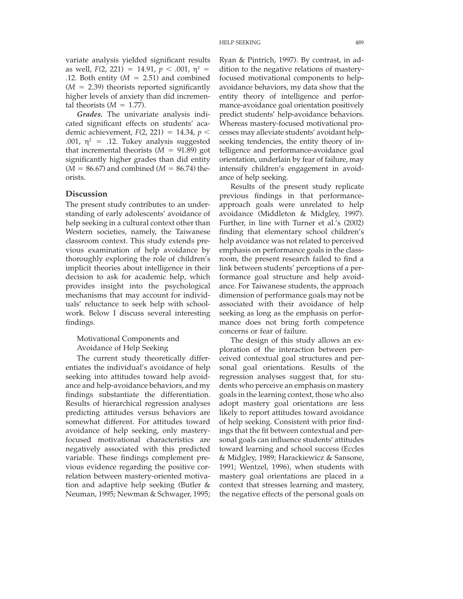variate analysis yielded significant results as well,  $F(2, 221) = 14.91$ ,  $p < .001$ ,  $\eta^2 =$  $.12.$  Both entity ( $M = 2.51$ ) and combined  $(M = 2.39)$  theorists reported significantly higher levels of anxiety than did incremental theorists  $(M = 1.77)$ .

*Grades.* The univariate analysis indicated significant effects on students' academic achievement,  $F(2, 221) = 14.34$ ,  $p <$ .001,  $\eta^2$  = .12. Tukey analysis suggested that incremental theorists  $(M = 91.89)$  got significantly higher grades than did entity  $(M = 86.67)$  and combined  $(M = 86.74)$  theorists.

## **Discussion**

The present study contributes to an understanding of early adolescents' avoidance of help seeking in a cultural context other than Western societies, namely, the Taiwanese classroom context. This study extends previous examination of help avoidance by thoroughly exploring the role of children's implicit theories about intelligence in their decision to ask for academic help, which provides insight into the psychological mechanisms that may account for individuals' reluctance to seek help with schoolwork. Below I discuss several interesting findings.

Motivational Components and Avoidance of Help Seeking

The current study theoretically differentiates the individual's avoidance of help seeking into attitudes toward help avoidance and help-avoidance behaviors, and my findings substantiate the differentiation. Results of hierarchical regression analyses predicting attitudes versus behaviors are somewhat different. For attitudes toward avoidance of help seeking, only masteryfocused motivational characteristics are negatively associated with this predicted variable. These findings complement previous evidence regarding the positive correlation between mastery-oriented motivation and adaptive help seeking (Butler & Neuman, 1995; Newman & Schwager, 1995;

Ryan & Pintrich, 1997). By contrast, in addition to the negative relations of masteryfocused motivational components to helpavoidance behaviors, my data show that the entity theory of intelligence and performance-avoidance goal orientation positively predict students' help-avoidance behaviors. Whereas mastery-focused motivational processes may alleviate students' avoidant helpseeking tendencies, the entity theory of intelligence and performance-avoidance goal orientation, underlain by fear of failure, may intensify children's engagement in avoidance of help seeking.

Results of the present study replicate previous findings in that performanceapproach goals were unrelated to help avoidance (Middleton & Midgley, 1997). Further, in line with Turner et al.'s (2002) finding that elementary school children's help avoidance was not related to perceived emphasis on performance goals in the classroom, the present research failed to find a link between students' perceptions of a performance goal structure and help avoidance. For Taiwanese students, the approach dimension of performance goals may not be associated with their avoidance of help seeking as long as the emphasis on performance does not bring forth competence concerns or fear of failure.

The design of this study allows an exploration of the interaction between perceived contextual goal structures and personal goal orientations. Results of the regression analyses suggest that, for students who perceive an emphasis on mastery goals in the learning context, those who also adopt mastery goal orientations are less likely to report attitudes toward avoidance of help seeking. Consistent with prior findings that the fit between contextual and personal goals can influence students' attitudes toward learning and school success (Eccles & Midgley, 1989; Harackiewicz & Sansone, 1991; Wentzel, 1996), when students with mastery goal orientations are placed in a context that stresses learning and mastery, the negative effects of the personal goals on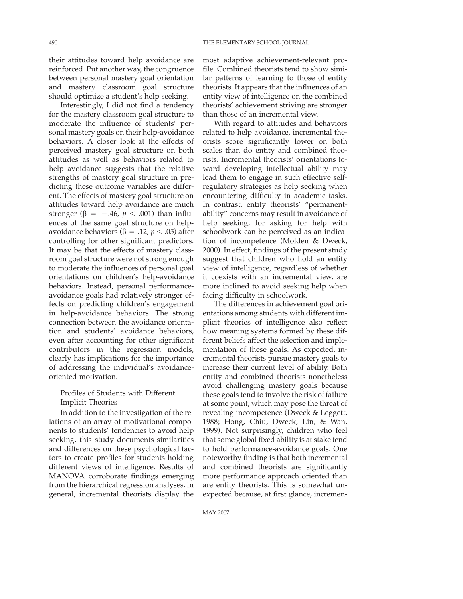their attitudes toward help avoidance are reinforced. Put another way, the congruence between personal mastery goal orientation and mastery classroom goal structure should optimize a student's help seeking.

Interestingly, I did not find a tendency for the mastery classroom goal structure to moderate the influence of students' personal mastery goals on their help-avoidance behaviors. A closer look at the effects of perceived mastery goal structure on both attitudes as well as behaviors related to help avoidance suggests that the relative strengths of mastery goal structure in predicting these outcome variables are different. The effects of mastery goal structure on attitudes toward help avoidance are much stronger ( $\beta$  =  $-.46$ ,  $p < .001$ ) than influences of the same goal structure on helpavoidance behaviors ( $\beta = .12$ ,  $p < .05$ ) after controlling for other significant predictors. It may be that the effects of mastery classroom goal structure were not strong enough to moderate the influences of personal goal orientations on children's help-avoidance behaviors. Instead, personal performanceavoidance goals had relatively stronger effects on predicting children's engagement in help-avoidance behaviors. The strong connection between the avoidance orientation and students' avoidance behaviors, even after accounting for other significant contributors in the regression models, clearly has implications for the importance of addressing the individual's avoidanceoriented motivation.

# Profiles of Students with Different Implicit Theories

In addition to the investigation of the relations of an array of motivational components to students' tendencies to avoid help seeking, this study documents similarities and differences on these psychological factors to create profiles for students holding different views of intelligence. Results of MANOVA corroborate findings emerging from the hierarchical regression analyses. In general, incremental theorists display the

most adaptive achievement-relevant profile. Combined theorists tend to show similar patterns of learning to those of entity theorists. It appears that the influences of an entity view of intelligence on the combined theorists' achievement striving are stronger than those of an incremental view.

With regard to attitudes and behaviors related to help avoidance, incremental theorists score significantly lower on both scales than do entity and combined theorists. Incremental theorists' orientations toward developing intellectual ability may lead them to engage in such effective selfregulatory strategies as help seeking when encountering difficulty in academic tasks. In contrast, entity theorists' "permanentability" concerns may result in avoidance of help seeking, for asking for help with schoolwork can be perceived as an indication of incompetence (Molden & Dweck, 2000). In effect, findings of the present study suggest that children who hold an entity view of intelligence, regardless of whether it coexists with an incremental view, are more inclined to avoid seeking help when facing difficulty in schoolwork.

The differences in achievement goal orientations among students with different implicit theories of intelligence also reflect how meaning systems formed by these different beliefs affect the selection and implementation of these goals. As expected, incremental theorists pursue mastery goals to increase their current level of ability. Both entity and combined theorists nonetheless avoid challenging mastery goals because these goals tend to involve the risk of failure at some point, which may pose the threat of revealing incompetence (Dweck & Leggett, 1988; Hong, Chiu, Dweck, Lin, & Wan, 1999). Not surprisingly, children who feel that some global fixed ability is at stake tend to hold performance-avoidance goals. One noteworthy finding is that both incremental and combined theorists are significantly more performance approach oriented than are entity theorists. This is somewhat unexpected because, at first glance, incremen-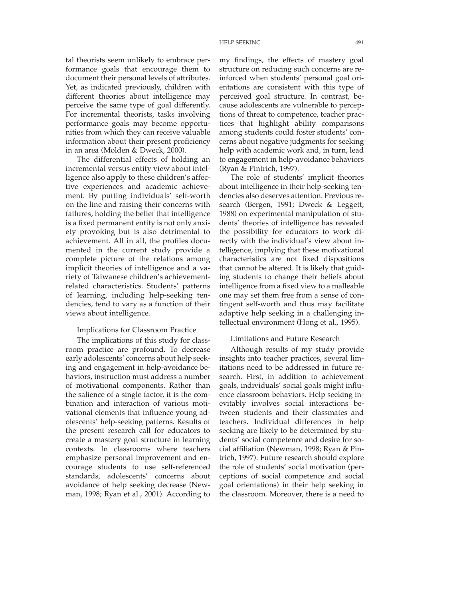tal theorists seem unlikely to embrace performance goals that encourage them to document their personal levels of attributes. Yet, as indicated previously, children with different theories about intelligence may perceive the same type of goal differently. For incremental theorists, tasks involving performance goals may become opportunities from which they can receive valuable information about their present proficiency in an area (Molden & Dweck, 2000).

The differential effects of holding an incremental versus entity view about intelligence also apply to these children's affective experiences and academic achievement. By putting individuals' self-worth on the line and raising their concerns with failures, holding the belief that intelligence is a fixed permanent entity is not only anxiety provoking but is also detrimental to achievement. All in all, the profiles documented in the current study provide a complete picture of the relations among implicit theories of intelligence and a variety of Taiwanese children's achievementrelated characteristics. Students' patterns of learning, including help-seeking tendencies, tend to vary as a function of their views about intelligence.

Implications for Classroom Practice

The implications of this study for classroom practice are profound. To decrease early adolescents' concerns about help seeking and engagement in help-avoidance behaviors, instruction must address a number of motivational components. Rather than the salience of a single factor, it is the combination and interaction of various motivational elements that influence young adolescents' help-seeking patterns. Results of the present research call for educators to create a mastery goal structure in learning contexts. In classrooms where teachers emphasize personal improvement and encourage students to use self-referenced standards, adolescents' concerns about avoidance of help seeking decrease (Newman, 1998; Ryan et al., 2001). According to

my findings, the effects of mastery goal structure on reducing such concerns are reinforced when students' personal goal orientations are consistent with this type of perceived goal structure. In contrast, because adolescents are vulnerable to perceptions of threat to competence, teacher practices that highlight ability comparisons among students could foster students' concerns about negative judgments for seeking help with academic work and, in turn, lead to engagement in help-avoidance behaviors (Ryan & Pintrich, 1997).

The role of students' implicit theories about intelligence in their help-seeking tendencies also deserves attention. Previous research (Bergen, 1991; Dweck & Leggett, 1988) on experimental manipulation of students' theories of intelligence has revealed the possibility for educators to work directly with the individual's view about intelligence, implying that these motivational characteristics are not fixed dispositions that cannot be altered. It is likely that guiding students to change their beliefs about intelligence from a fixed view to a malleable one may set them free from a sense of contingent self-worth and thus may facilitate adaptive help seeking in a challenging intellectual environment (Hong et al., 1995).

### Limitations and Future Research

Although results of my study provide insights into teacher practices, several limitations need to be addressed in future research. First, in addition to achievement goals, individuals' social goals might influence classroom behaviors. Help seeking inevitably involves social interactions between students and their classmates and teachers. Individual differences in help seeking are likely to be determined by students' social competence and desire for social affiliation (Newman, 1998; Ryan & Pintrich, 1997). Future research should explore the role of students' social motivation (perceptions of social competence and social goal orientations) in their help seeking in the classroom. Moreover, there is a need to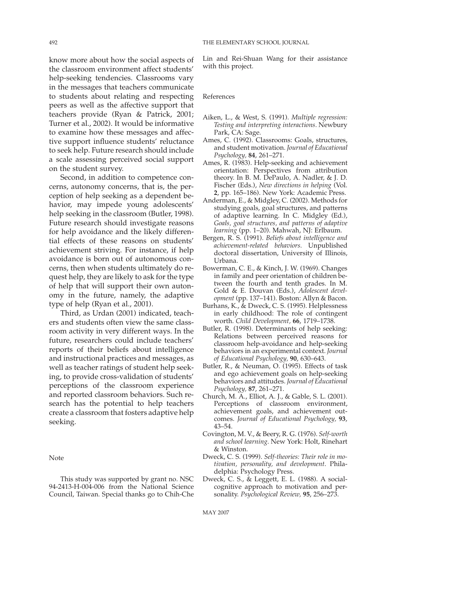know more about how the social aspects of the classroom environment affect students' help-seeking tendencies. Classrooms vary in the messages that teachers communicate to students about relating and respecting peers as well as the affective support that teachers provide (Ryan & Patrick, 2001; Turner et al., 2002). It would be informative to examine how these messages and affective support influence students' reluctance to seek help. Future research should include a scale assessing perceived social support on the student survey.

Second, in addition to competence concerns, autonomy concerns, that is, the perception of help seeking as a dependent behavior, may impede young adolescents' help seeking in the classroom (Butler, 1998). Future research should investigate reasons for help avoidance and the likely differential effects of these reasons on students' achievement striving. For instance, if help avoidance is born out of autonomous concerns, then when students ultimately do request help, they are likely to ask for the type of help that will support their own autonomy in the future, namely, the adaptive type of help (Ryan et al., 2001).

Third, as Urdan (2001) indicated, teachers and students often view the same classroom activity in very different ways. In the future, researchers could include teachers' reports of their beliefs about intelligence and instructional practices and messages, as well as teacher ratings of student help seeking, to provide cross-validation of students' perceptions of the classroom experience and reported classroom behaviors. Such research has the potential to help teachers create a classroom that fosters adaptive help seeking.

Note

This study was supported by grant no. NSC 94-2413-H-004-006 from the National Science Council, Taiwan. Special thanks go to Chih-Che Lin and Rei-Shuan Wang for their assistance with this project.

#### References

- Aiken, L., & West, S. (1991). *Multiple regression: Testing and interpreting interactions.* Newbury Park, CA: Sage.
- Ames, C. (1992). Classrooms: Goals, structures, and student motivation. *Journal of Educational Psychology,* **84**, 261–271.
- Ames, R. (1983). Help-seeking and achievement orientation: Perspectives from attribution theory. In B. M. DePaulo, A. Nadler, & J. D. Fischer (Eds.), *New directions in helping* (Vol. **2**, pp. 165–186). New York: Academic Press.
- Anderman, E., & Midgley, C. (2002). Methods for studying goals, goal structures, and patterns of adaptive learning. In C. Midgley (Ed.), *Goals, goal structures, and patterns of adaptive learning* (pp. 1–20). Mahwah, NJ: Erlbaum.
- Bergen, R. S. (1991). *Beliefs about intelligence and achievement-related behaviors.* Unpublished doctoral dissertation, University of Illinois, Urbana.
- Bowerman, C. E., & Kinch, J. W. (1969). Changes in family and peer orientation of children between the fourth and tenth grades. In M. Gold & E. Douvan (Eds.), *Adolescent development* (pp. 137–141). Boston: Allyn & Bacon.
- Burhans, K., & Dweck, C. S. (1995). Helplessness in early childhood: The role of contingent worth. *Child Development,* **66**, 1719–1738.
- Butler, R. (1998). Determinants of help seeking: Relations between perceived reasons for classroom help-avoidance and help-seeking behaviors in an experimental context. *Journal of Educational Psychology,* **90**, 630–643.
- Butler, R., & Neuman, O. (1995). Effects of task and ego achievement goals on help-seeking behaviors and attitudes. *Journal of Educational Psychology,* **87**, 261–271.
- Church, M. A., Elliot, A. J., & Gable, S. L. (2001). Perceptions of classroom environment, achievement goals, and achievement outcomes. *Journal of Educational Psychology,* **93**, 43–54.
- Covington, M. V., & Beery, R. G. (1976). *Self-worth and school learning*. New York: Holt, Rinehart & Winston.
- Dweck, C. S. (1999). *Self-theories: Their role in motivation, personality, and development*. Philadelphia: Psychology Press.
- Dweck, C. S., & Leggett, E. L. (1988). A socialcognitive approach to motivation and personality. *Psychological Review,* **95**, 256–273.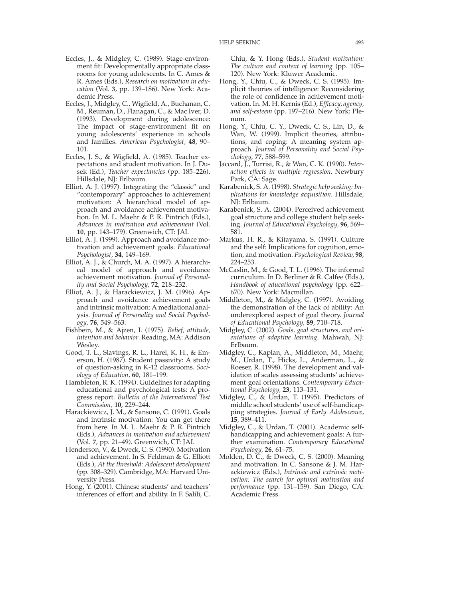- Eccles, J., & Midgley, C. (1989). Stage-environment fit: Developmentally appropriate classrooms for young adolescents. In C. Ames & R. Ames (Eds.), *Research on motivation in education* (Vol. **3**, pp. 139–186). New York: Academic Press.
- Eccles, J., Midgley, C., Wigfield, A., Buchanan, C. M., Reuman, D., Flanagan, C., & Mac Iver, D. (1993). Development during adolescence: The impact of stage-environment fit on young adolescents' experience in schools and families. *American Psychologist,* **48**, 90– 101.
- Eccles, J. S., & Wigfield, A. (1985). Teacher expectations and student motivation. In J. Dusek (Ed.), *Teacher expectancies* (pp. 185–226). Hillsdale, NJ: Erlbaum.
- Elliot, A. J. (1997). Integrating the "classic" and "contemporary" approaches to achievement motivation: A hierarchical model of approach and avoidance achievement motivation. In M. L. Maehr & P. R. Pintrich (Eds.), *Advances in motivation and achievement* (Vol. **10**, pp. 143–179). Greenwich, CT: JAI.
- Elliot, A. J. (1999). Approach and avoidance motivation and achievement goals. *Educational Psychologist,* **34**, 149–169.
- Elliot, A. J., & Church, M. A. (1997). A hierarchical model of approach and avoidance achievement motivation. *Journal of Personality and Social Psychology,* **72**, 218–232.
- Elliot, A. J., & Harackiewicz, J. M. (1996). Approach and avoidance achievement goals and intrinsic motivation: A mediational analysis. *Journal of Personality and Social Psychology,* **76**, 549–563.
- Fishbein, M., & Ajzen, I. (1975). *Belief, attitude, intention and behavior*. Reading, MA: Addison Wesley.
- Good, T. L., Slavings, R. L., Harel, K. H., & Emerson, H. (1987). Student passivity: A study of question-asking in K-12 classrooms. *Sociology of Education,* **60**, 181–199.
- Hambleton, R. K. (1994). Guidelines for adapting educational and psychological tests: A progress report. *Bulletin of the International Test Commission,* **10**, 229–244.
- Harackiewicz, J. M., & Sansone, C. (1991). Goals and intrinsic motivation: You can get there from here. In M. L. Maehr & P. R. Pintrich (Eds.), *Advances in motivation and achievement* (Vol. **7**, pp. 21–49). Greenwich, CT: JAI.
- Henderson, V., & Dweck, C. S. (1990). Motivation and achievement. In S. Feldman & G. Elliott (Eds.), *At the threshold: Adolescent development* (pp. 308–329). Cambridge, MA: Harvard University Press.
- Hong, Y. (2001). Chinese students' and teachers' inferences of effort and ability. In F. Salili, C.

Chiu, & Y. Hong (Eds.), *Student motivation: The culture and context of learning* (pp. 105– 120). New York: Kluwer Academic.

- Hong, Y., Chiu, C., & Dweck, C. S. (1995). Implicit theories of intelligence: Reconsidering the role of confidence in achievement motivation. In. M. H. Kernis (Ed.), *Efficacy, agency, and self-esteem* (pp. 197–216). New York: Plenum.
- Hong, Y., Chiu, C. Y., Dweck, C. S., Lin, D., & Wan, W. (1999). Implicit theories, attributions, and coping: A meaning system approach. *Journal of Personality and Social Psychology,* **77**, 588–599.
- Jaccard, J., Turrisi, R., & Wan, C. K. (1990). *Interaction effects in multiple regression*. Newbury Park, CA: Sage.
- Karabenick, S. A. (1998). *Strategic help seeking: Implications for knowledge acquisition.* Hillsdale, NJ: Erlbaum.
- Karabenick, S. A. (2004). Perceived achievement goal structure and college student help seeking. *Journal of Educational Psychology,* **96**, 569– 581.
- Markus, H. R., & Kitayama, S. (1991). Culture and the self: Implications for cognition, emotion, and motivation. *Psychological Review,* **98**, 224–253.
- McCaslin, M., & Good, T. L. (1996). The informal curriculum. In D. Berliner & R. Calfee (Eds.), *Handbook of educational psychology* (pp. 622– 670). New York: Macmillan.
- Middleton, M., & Midgley, C. (1997). Avoiding the demonstration of the lack of ability: An underexplored aspect of goal theory. *Journal of Educational Psychology,* **89**, 710–718.
- Midgley, C. (2002). *Goals, goal structures, and orientations of adaptive learning*. Mahwah, NJ: Erlbaum.
- Midgley, C., Kaplan, A., Middleton, M., Maehr, M., Urdan, T., Hicks, L., Anderman, L., & Roeser, R. (1998). The development and validation of scales assessing students' achievement goal orientations. *Contemporary Educational Psychology,* **23**, 113–131.
- Midgley, C., & Urdan, T. (1995). Predictors of middle school students' use of self-handicapping strategies. *Journal of Early Adolescence,* **15**, 389–411.
- Midgley, C., & Urdan, T. (2001). Academic selfhandicapping and achievement goals: A further examination. *Contemporary Educational Psychology,* **26**, 61–75.
- Molden, D. C., & Dweck, C. S. (2000). Meaning and motivation. In C. Sansone & J. M. Harackiewicz (Eds.), *Intrinsic and extrinsic motivation: The search for optimal motivation and performance* (pp. 131–159). San Diego, CA: Academic Press.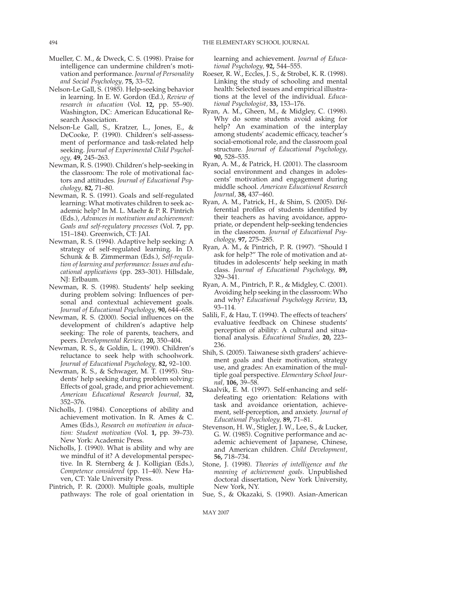- Mueller, C. M., & Dweck, C. S. (1998). Praise for intelligence can undermine children's motivation and performance. *Journal of Personality and Social Psychology,* **75,** 33–52.
- Nelson-Le Gall, S. (1985). Help-seeking behavior in learning. In E. W. Gordon (Ed.), *Review of research in education* (Vol. **12,** pp. 55–90). Washington, DC: American Educational Research Association.
- Nelson-Le Gall, S., Kratzer, L., Jones, E., & DeCooke, P. (1990). Children's self-assessment of performance and task-related help seeking. *Journal of Experimental Child Psychology,* **49,** 245–263.
- Newman, R. S. (1990). Children's help-seeking in the classroom: The role of motivational factors and attitudes. *Journal of Educational Psychology,* **82,** 71–80.
- Newman, R. S. (1991). Goals and self-regulated learning: What motivates children to seek academic help? In M. L. Maehr & P. R. Pintrich (Eds.), *Advances in motivation and achievement: Goals and self-regulatory processes* (Vol. **7,** pp. 151–184). Greenwich, CT: JAI.
- Newman, R. S. (1994). Adaptive help seeking: A strategy of self-regulated learning. In D. Schunk & B. Zimmerman (Eds.), *Self-regulation of learning and performance: Issues and educational applications* (pp. 283–301). Hillsdale, NJ: Erlbaum.
- Newman, R. S. (1998). Students' help seeking during problem solving: Influences of personal and contextual achievement goals. *Journal of Educational Psychology,* **90,** 644–658.
- Newman, R. S. (2000). Social influences on the development of children's adaptive help seeking: The role of parents, teachers, and peers. *Developmental Review,* **20,** 350–404.
- Newman, R. S., & Goldin, L. (1990). Children's reluctance to seek help with schoolwork. *Journal of Educational Psychology,* **82,** 92–100.
- Newman, R. S., & Schwager, M. T. (1995). Students' help seeking during problem solving: Effects of goal, grade, and prior achievement. *American Educational Research Journal,* **32,** 352–376.
- Nicholls, J. (1984). Conceptions of ability and achievement motivation. In R. Ames & C. Ames (Eds.), *Research on motivation in education: Student motivation* (Vol. **1,** pp. 39–73). New York: Academic Press.
- Nicholls, J. (1990). What is ability and why are we mindful of it? A developmental perspective. In R. Sternberg & J. Kolligian (Eds.), *Competence considered* (pp. 11–40). New Haven, CT: Yale University Press.
- Pintrich, P. R. (2000). Multiple goals, multiple pathways: The role of goal orientation in

learning and achievement. *Journal of Educational Psychology,* **92,** 544–555.

- Roeser, R. W., Eccles, J. S., & Strobel, K. R. (1998). Linking the study of schooling and mental health: Selected issues and empirical illustrations at the level of the individual. *Educational Psychologist,* **33,** 153–176.
- Ryan, A. M., Gheen, M., & Midgley, C. (1998). Why do some students avoid asking for help? An examination of the interplay among students' academic efficacy, teacher's social-emotional role, and the classroom goal structure. *Journal of Educational Psychology,* **90,** 528–535.
- Ryan, A. M., & Patrick, H. (2001). The classroom social environment and changes in adolescents' motivation and engagement during middle school. *American Educational Research Journal,* **38,** 437–460.
- Ryan, A. M., Patrick, H., & Shim, S. (2005). Differential profiles of students identified by their teachers as having avoidance, appropriate, or dependent help-seeking tendencies in the classroom. *Journal of Educational Psychology,* **97,** 275–285.
- Ryan, A. M., & Pintrich, P. R. (1997). "Should I ask for help?" The role of motivation and attitudes in adolescents' help seeking in math class. *Journal of Educational Psychology,* **89,** 329–341.
- Ryan, A. M., Pintrich, P. R., & Midgley, C. (2001). Avoiding help seeking in the classroom: Who and why? *Educational Psychology Review,* **13,** 93–114.
- Salili, F., & Hau, T. (1994). The effects of teachers' evaluative feedback on Chinese students' perception of ability: A cultural and situational analysis. *Educational Studies,* **20,** 223– 236.
- Shih, S. (2005). Taiwanese sixth graders' achievement goals and their motivation, strategy use, and grades: An examination of the multiple goal perspective. *Elementary School Journal,* **106,** 39–58.
- Skaalvik, E. M. (1997). Self-enhancing and selfdefeating ego orientation: Relations with task and avoidance orientation, achievement, self-perception, and anxiety. *Journal of Educational Psychology,* **89,** 71–81.
- Stevenson, H. W., Stigler, J. W., Lee, S., & Lucker, G. W. (1985). Cognitive performance and academic achievement of Japanese, Chinese, and American children. *Child Development,* **56,** 718–734.
- Stone, J. (1998). *Theories of intelligence and the meaning of achievement goals*. Unpublished doctoral dissertation, New York University, New York, NY.
- Sue, S., & Okazaki, S. (1990). Asian-American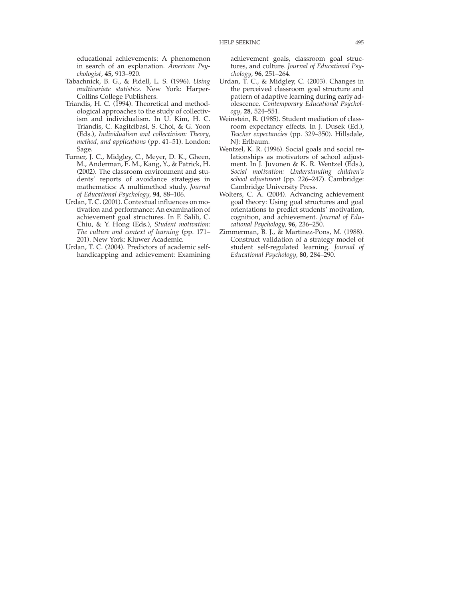educational achievements: A phenomenon in search of an explanation. *American Psychologist,* **45,** 913–920.

- Tabachnick, B. G., & Fidell, L. S. (1996). *Using multivariate statistics*. New York: Harper-Collins College Publishers.
- Triandis, H. C. (1994). Theoretical and methodological approaches to the study of collectivism and individualism. In U. Kim, H. C. Triandis, C. Kagitcibasi, S. Choi, & G. Yoon (Eds.), *Individualism and collectivism: Theory, method, and applications* (pp. 41–51). London: Sage.
- Turner, J. C., Midgley, C., Meyer, D. K., Gheen, M., Anderman, E. M., Kang, Y., & Patrick, H. (2002). The classroom environment and students' reports of avoidance strategies in mathematics: A multimethod study. *Journal of Educational Psychology,* **94**, 88–106.
- Urdan, T. C. (2001). Contextual influences on motivation and performance: An examination of achievement goal structures. In F. Salili, C. Chiu, & Y. Hong (Eds.), *Student motivation: The culture and context of learning* (pp. 171– 201). New York: Kluwer Academic.
- Urdan, T. C. (2004). Predictors of academic selfhandicapping and achievement: Examining

achievement goals, classroom goal structures, and culture. *Journal of Educational Psychology,* **96**, 251–264.

- Urdan, T. C., & Midgley, C. (2003). Changes in the perceived classroom goal structure and pattern of adaptive learning during early adolescence. *Contemporary Educational Psychology,* **28**, 524–551.
- Weinstein, R. (1985). Student mediation of classroom expectancy effects. In J. Dusek (Ed.), *Teacher expectancies* (pp. 329–350). Hillsdale, NJ: Erlbaum.
- Wentzel, K. R. (1996). Social goals and social relationships as motivators of school adjustment. In J. Juvonen & K. R. Wentzel (Eds.), *Social motivation: Understanding children's school adjustment* (pp. 226–247). Cambridge: Cambridge University Press.
- Wolters, C. A. (2004). Advancing achievement goal theory: Using goal structures and goal orientations to predict students' motivation, cognition, and achievement. *Journal of Educational Psychology,* **96**, 236–250.
- Zimmerman, B. J., & Martinez-Pons, M. (1988). Construct validation of a strategy model of student self-regulated learning. *Journal of Educational Psychology,* **80**, 284–290.